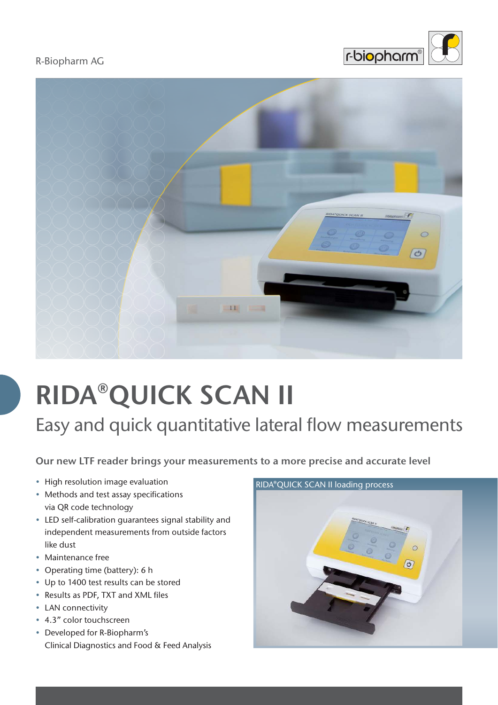R-Biopharm AG





## **RIDA**®**QUICK SCAN II**

Easy and quick quantitative lateral flow measurements

**Our new LTF reader brings your measurements to a more precise and accurate level**

- High resolution image evaluation
- Methods and test assay specifications via QR code technology
- LED self-calibration guarantees signal stability and independent measurements from outside factors like dust
- Maintenance free
- Operating time (battery): 6 h
- Up to 1400 test results can be stored
- Results as PDF, TXT and XML files
- LAN connectivity
- 4.3" color touchscreen
- Developed for R-Biopharm's Clinical Diagnostics and Food & Feed Analysis